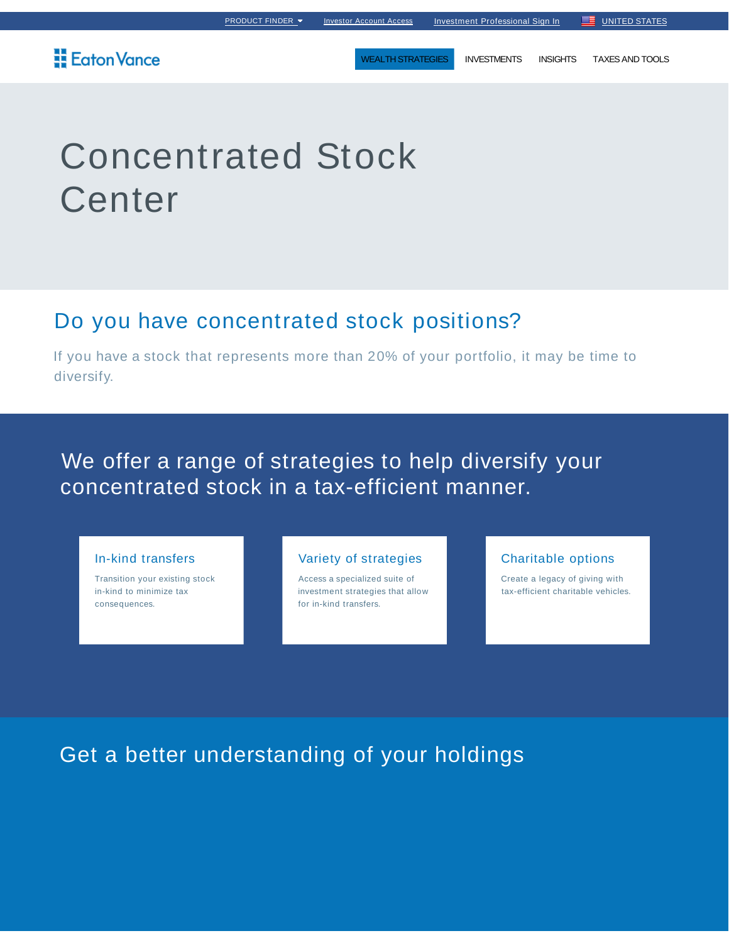WEALTH STRATEGIES INVESTMENTS INSIGHTS TAXES AND TOOLS

## **Eaton Vance**

# Concentrated Stock **Center**

# Do you have concentrated stock positions?

If you have a stock that represents more than 20% of your portfolio, it may be time to diversify.

# We offer a range of strategies to help diversify your concentrated stock in a tax-efficient manner.

#### In-kind transfers

Transition your existing stock in-kind to minimize tax consequences.

#### Variety of strategies

Access a specialized suite of investment strategies that allow for in-kind transfers.

#### Charitable options

Create a legacy of giving with tax-efficient charitable vehicles.

# Get a better understanding of your holdings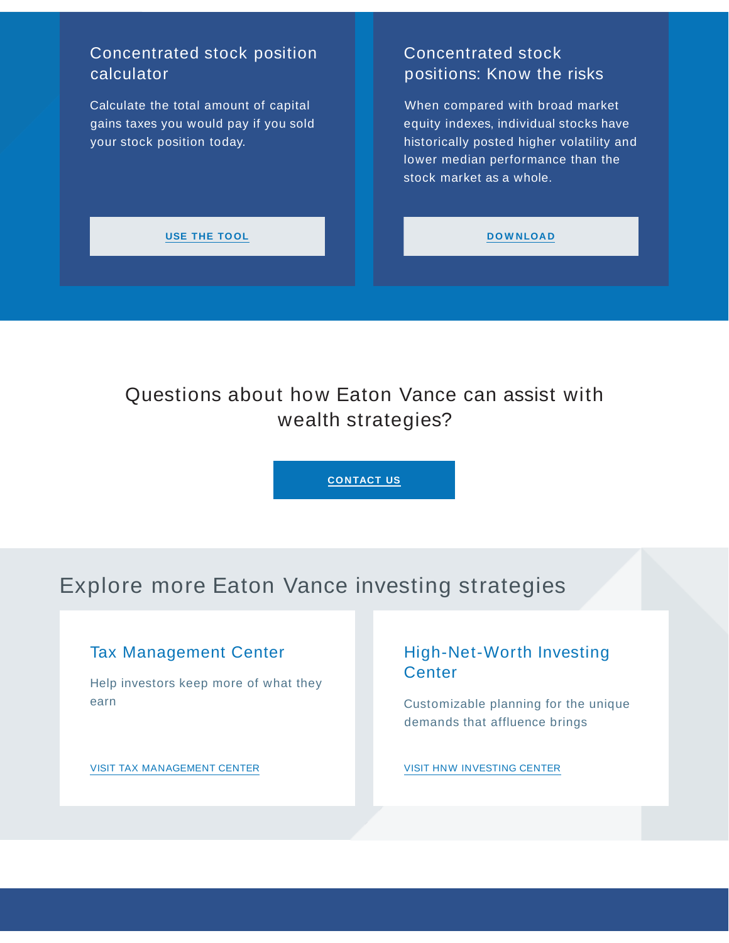## Concentrated stock position calculator

Calculate the total amount of capital gains taxes you would pay if you sold your stock position today.

## Concentrated stock positions: Know the risks

When compared with broad market equity indexes, individual stocks have historically posted higher volatility and lower median performance than the stock market as a whole.

#### **USE THE TO OL**

#### **D O W NLOA D**

# Questions about how Eaton Vance can assist with wealth strategies?

**CONTACT US**

# Explore more Eaton Vance investing strategies

## Tax Management Center

Help investors keep more of what they earn

VISIT TAX MANAGEMENT CENTER

## High-Net-Worth Investing **Center**

Customizable planning for the unique demands that affluence brings

VISIT HNW INVESTING CENTER